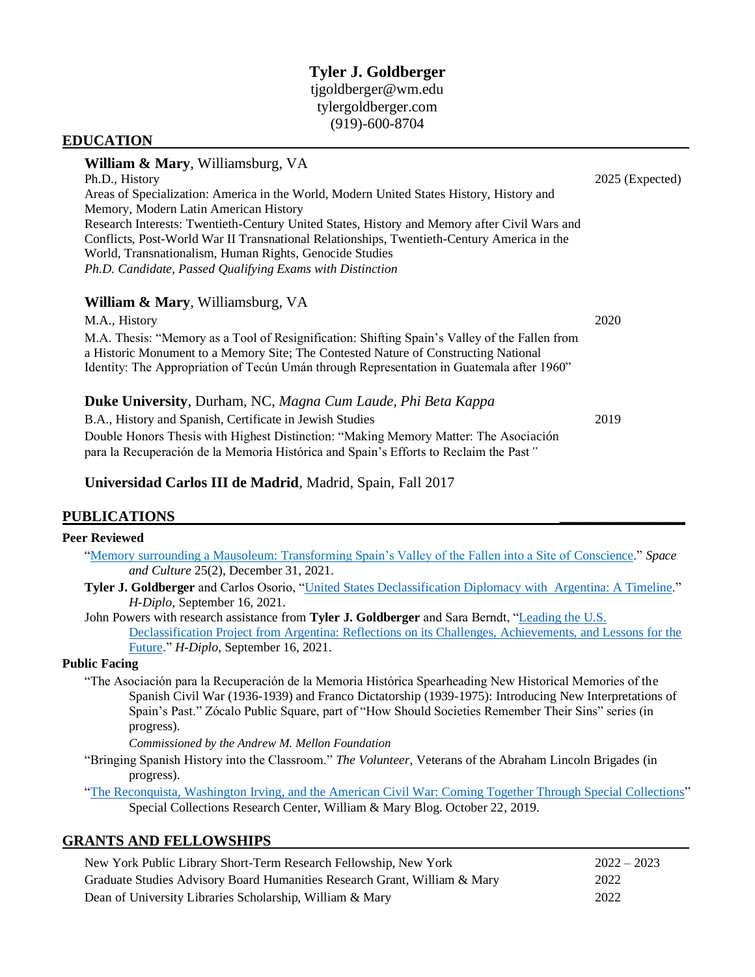## **Tyler J. Goldberger** [tjgoldberger@wm.edu](mailto:tjgoldberger@wm.edu) [tylergoldberger.com](http://tylergoldberger.com/) (919)-600-8704

#### **EDUCATION**

# **William & Mary**, Williamsburg, VA Ph.D., History 2025 (Expected) Areas of Specialization: America in the World, Modern United States History, History and Memory, Modern Latin American History Research Interests: Twentieth-Century United States, History and Memory after Civil Wars and Conflicts, Post-World War II Transnational Relationships, Twentieth-Century America in the World, Transnationalism, Human Rights, Genocide Studies *Ph.D. Candidate, Passed Qualifying Exams with Distinction* **William & Mary**, Williamsburg, VA M.A., History 2020 M.A. Thesis: "Memory as a Tool of Resignification: Shifting Spain's Valley of the Fallen from a Historic Monument to a Memory Site; The Contested Nature of Constructing National Identity: The Appropriation of Tecún Umán through Representation in Guatemala after 1960" **Duke University**, Durham, NC, *Magna Cum Laude, Phi Beta Kappa*

B.A., History and Spanish, Certificate in Jewish Studies 2019 Double Honors Thesis with Highest Distinction: "Making Memory Matter: The Asociación para la Recuperación de la Memoria Histórica and Spain's Efforts to Reclaim the Past*"*

### **Universidad Carlos III de Madrid**, Madrid, Spain, Fall 2017

#### **PUBLICATIONS \_\_\_\_\_\_\_\_\_\_\_\_\_\_\_\_\_**

#### **Peer Reviewed**

|  | "Memory surrounding a Mausoleum: Transforming Spain's Valley of the Fallen into a Site of Conscience." Space |  |  |  |  |  |
|--|--------------------------------------------------------------------------------------------------------------|--|--|--|--|--|
|  | and Culture 25(2), December 31, 2021.                                                                        |  |  |  |  |  |

- **Tyler J. Goldberger** and Carlos Osorio, ["United States Declassification Diplomacy with Argentina: A Timeline.](https://networks.h-net.org/node/28443/discussions/8243011/h-diplo-forum-2021-1-argentina-declassification-project-model-)" *H-Diplo*, September 16, 2021.
- John Powers with research assistance from **Tyler J. Goldberger** and Sara Berndt, ["Leading the U.S.](https://networks.h-net.org/node/28443/discussions/8243011/h-diplo-forum-2021-1-argentina-declassification-project-model-)  [Declassification Project from Argentina: Reflections on its Challenges, Achievements, and Lessons for the](https://networks.h-net.org/node/28443/discussions/8243011/h-diplo-forum-2021-1-argentina-declassification-project-model-)  [Future.](https://networks.h-net.org/node/28443/discussions/8243011/h-diplo-forum-2021-1-argentina-declassification-project-model-)" *H-Diplo*, September 16, 2021.

#### **Public Facing**

"The Asociación para la Recuperación de la Memoria Histórica Spearheading New Historical Memories of the Spanish Civil War (1936-1939) and Franco Dictatorship (1939-1975): Introducing New Interpretations of Spain's Past." Zócalo Public Square, part of "How Should Societies Remember Their Sins" series (in progress).

*Commissioned by the Andrew M. Mellon Foundation*

"Bringing Spanish History into the Classroom." *The Volunteer*, Veterans of the Abraham Lincoln Brigades (in progress).

["The Reconquista, Washington Irving, and the American Civil War: Coming Together Through Special Collections"](https://libraries.wm.edu/blog/special-collections/post/51851) Special Collections Research Center, William & Mary Blog. October 22, 2019.

#### **GRANTS AND FELLOWSHIPS**

| New York Public Library Short-Term Research Fellowship, New York          | $2022 - 2023$ |
|---------------------------------------------------------------------------|---------------|
| Graduate Studies Advisory Board Humanities Research Grant, William & Mary | 2022          |
| Dean of University Libraries Scholarship, William & Mary                  | 2022          |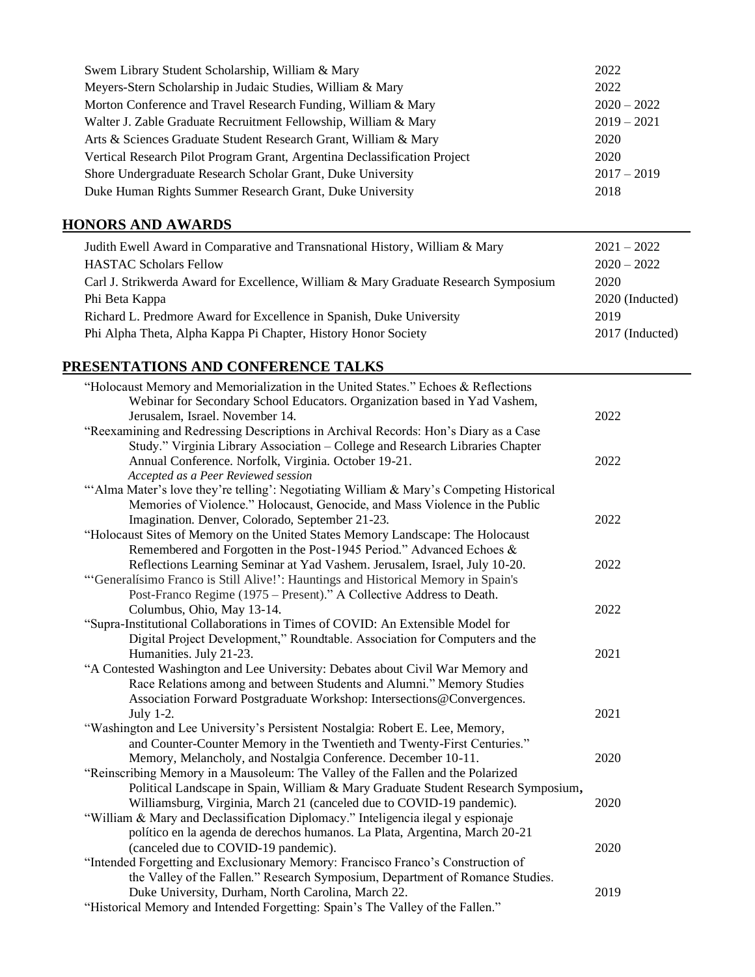| Swem Library Student Scholarship, William & Mary                          | 2022          |
|---------------------------------------------------------------------------|---------------|
| Meyers-Stern Scholarship in Judaic Studies, William & Mary                | 2022          |
| Morton Conference and Travel Research Funding, William & Mary             | $2020 - 2022$ |
| Walter J. Zable Graduate Recruitment Fellowship, William & Mary           | $2019 - 2021$ |
| Arts & Sciences Graduate Student Research Grant, William & Mary           | 2020          |
| Vertical Research Pilot Program Grant, Argentina Declassification Project | 2020          |
| Shore Undergraduate Research Scholar Grant, Duke University               | $2017 - 2019$ |
| Duke Human Rights Summer Research Grant, Duke University                  | 2018          |

# **HONORS AND AWARDS**

| Judith Ewell Award in Comparative and Transnational History, William & Mary         | $2021 - 2022$   |
|-------------------------------------------------------------------------------------|-----------------|
| <b>HASTAC Scholars Fellow</b>                                                       | $2020 - 2022$   |
| Carl J. Strikwerda Award for Excellence, William & Mary Graduate Research Symposium | 2020            |
| Phi Beta Kappa                                                                      | 2020 (Inducted) |
| Richard L. Predmore Award for Excellence in Spanish, Duke University                | 2019            |
| Phi Alpha Theta, Alpha Kappa Pi Chapter, History Honor Society                      | 2017 (Inducted) |

## **PRESENTATIONS AND CONFERENCE TALKS**

| "Holocaust Memory and Memorialization in the United States." Echoes & Reflections                            |      |
|--------------------------------------------------------------------------------------------------------------|------|
| Webinar for Secondary School Educators. Organization based in Yad Vashem,<br>Jerusalem, Israel. November 14. | 2022 |
| "Reexamining and Redressing Descriptions in Archival Records: Hon's Diary as a Case                          |      |
| Study." Virginia Library Association - College and Research Libraries Chapter                                |      |
| Annual Conference. Norfolk, Virginia. October 19-21.                                                         | 2022 |
| Accepted as a Peer Reviewed session                                                                          |      |
| "Alma Mater's love they're telling': Negotiating William & Mary's Competing Historical                       |      |
| Memories of Violence." Holocaust, Genocide, and Mass Violence in the Public                                  |      |
| Imagination. Denver, Colorado, September 21-23.                                                              | 2022 |
|                                                                                                              |      |
| "Holocaust Sites of Memory on the United States Memory Landscape: The Holocaust                              |      |
| Remembered and Forgotten in the Post-1945 Period." Advanced Echoes &                                         |      |
| Reflections Learning Seminar at Yad Vashem. Jerusalem, Israel, July 10-20.                                   | 2022 |
| "Generalísimo Franco is Still Alive!": Hauntings and Historical Memory in Spain's                            |      |
| Post-Franco Regime (1975 – Present)." A Collective Address to Death.                                         |      |
| Columbus, Ohio, May 13-14.                                                                                   | 2022 |
| "Supra-Institutional Collaborations in Times of COVID: An Extensible Model for                               |      |
| Digital Project Development," Roundtable. Association for Computers and the                                  |      |
| Humanities. July 21-23.                                                                                      | 2021 |
| "A Contested Washington and Lee University: Debates about Civil War Memory and                               |      |
| Race Relations among and between Students and Alumni." Memory Studies                                        |      |
| Association Forward Postgraduate Workshop: Intersections@Convergences.                                       |      |
| July 1-2.                                                                                                    | 2021 |
| "Washington and Lee University's Persistent Nostalgia: Robert E. Lee, Memory,                                |      |
| and Counter-Counter Memory in the Twentieth and Twenty-First Centuries."                                     |      |
| Memory, Melancholy, and Nostalgia Conference. December 10-11.                                                | 2020 |
| "Reinscribing Memory in a Mausoleum: The Valley of the Fallen and the Polarized                              |      |
| Political Landscape in Spain, William & Mary Graduate Student Research Symposium,                            |      |
| Williamsburg, Virginia, March 21 (canceled due to COVID-19 pandemic).                                        | 2020 |
| "William & Mary and Declassification Diplomacy." Inteligencia ilegal y espionaje                             |      |
| político en la agenda de derechos humanos. La Plata, Argentina, March 20-21                                  |      |
| (canceled due to COVID-19 pandemic).                                                                         | 2020 |
| "Intended Forgetting and Exclusionary Memory: Francisco Franco's Construction of                             |      |
| the Valley of the Fallen." Research Symposium, Department of Romance Studies.                                |      |
| Duke University, Durham, North Carolina, March 22.                                                           | 2019 |
| "Historical Memory and Intended Forgetting: Spain's The Valley of the Fallen."                               |      |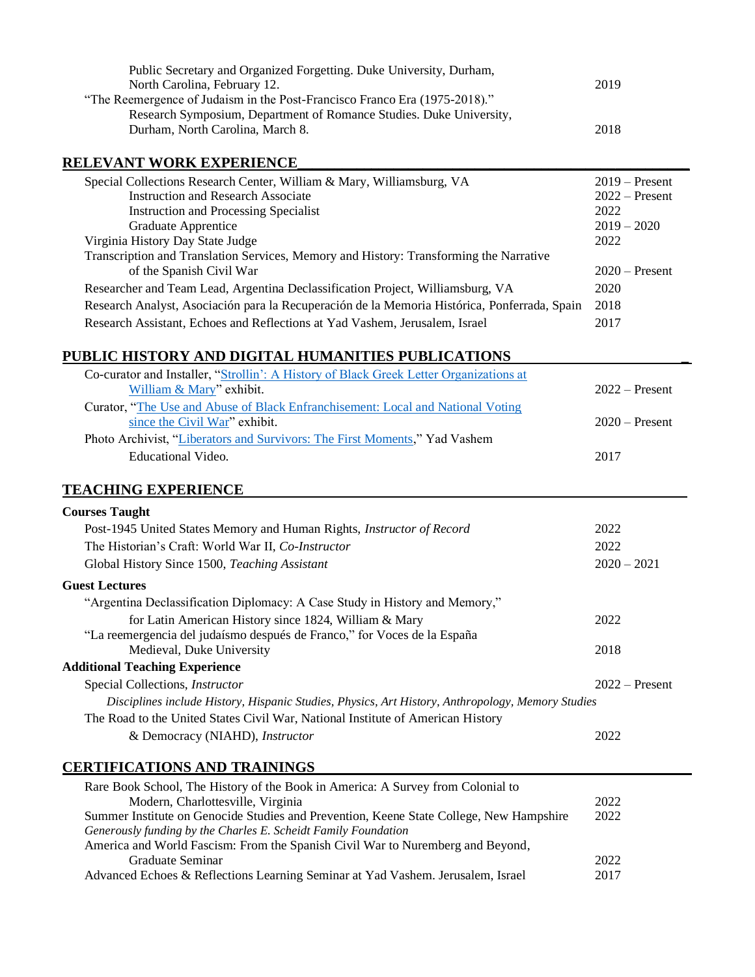| Public Secretary and Organized Forgetting. Duke University, Durham,<br>North Carolina, February 12.                                                                                   | 2019          |                  |
|---------------------------------------------------------------------------------------------------------------------------------------------------------------------------------------|---------------|------------------|
| "The Reemergence of Judaism in the Post-Francisco Franco Era (1975-2018)."<br>Research Symposium, Department of Romance Studies. Duke University,<br>Durham, North Carolina, March 8. | 2018          |                  |
| <b>RELEVANT WORK EXPERIENCE</b>                                                                                                                                                       |               |                  |
| Special Collections Research Center, William & Mary, Williamsburg, VA                                                                                                                 |               | $2019$ – Present |
| <b>Instruction and Research Associate</b>                                                                                                                                             |               | $2022 -$ Present |
| <b>Instruction and Processing Specialist</b>                                                                                                                                          | 2022          |                  |
| Graduate Apprentice                                                                                                                                                                   | $2019 - 2020$ |                  |
| Virginia History Day State Judge                                                                                                                                                      | 2022          |                  |
| Transcription and Translation Services, Memory and History: Transforming the Narrative                                                                                                |               |                  |
| of the Spanish Civil War                                                                                                                                                              |               | $2020$ – Present |
| Researcher and Team Lead, Argentina Declassification Project, Williamsburg, VA                                                                                                        | 2020          |                  |
| Research Analyst, Asociación para la Recuperación de la Memoria Histórica, Ponferrada, Spain                                                                                          | 2018          |                  |
| Research Assistant, Echoes and Reflections at Yad Vashem, Jerusalem, Israel                                                                                                           | 2017          |                  |
| PUBLIC HISTORY AND DIGITAL HUMANITIES PUBLICATIONS                                                                                                                                    |               |                  |
| Co-curator and Installer, "Strollin': A History of Black Greek Letter Organizations at                                                                                                |               |                  |
| William & Mary" exhibit.                                                                                                                                                              |               | $2022 -$ Present |
| Curator, "The Use and Abuse of Black Enfranchisement: Local and National Voting                                                                                                       |               |                  |
| since the Civil War" exhibit.                                                                                                                                                         |               | $2020$ – Present |
| Photo Archivist, "Liberators and Survivors: The First Moments," Yad Vashem                                                                                                            |               |                  |
| <b>Educational Video.</b>                                                                                                                                                             | 2017          |                  |
| <b>TEACHING EXPERIENCE</b>                                                                                                                                                            |               |                  |
|                                                                                                                                                                                       |               |                  |
| <b>Courses Taught</b>                                                                                                                                                                 |               |                  |
| Post-1945 United States Memory and Human Rights, Instructor of Record                                                                                                                 | 2022          |                  |
| The Historian's Craft: World War II, Co-Instructor                                                                                                                                    | 2022          |                  |
|                                                                                                                                                                                       |               |                  |
| Global History Since 1500, Teaching Assistant                                                                                                                                         | $2020 - 2021$ |                  |
| <b>Guest Lectures</b>                                                                                                                                                                 |               |                  |
| "Argentina Declassification Diplomacy: A Case Study in History and Memory,"                                                                                                           |               |                  |
| for Latin American History since 1824, William & Mary                                                                                                                                 | 2022          |                  |
| "La reemergencia del judaísmo después de Franco," for Voces de la España                                                                                                              |               |                  |
| Medieval, Duke University                                                                                                                                                             | 2018          |                  |
| <b>Additional Teaching Experience</b>                                                                                                                                                 |               |                  |
| Special Collections, Instructor                                                                                                                                                       |               | $2022 -$ Present |
| Disciplines include History, Hispanic Studies, Physics, Art History, Anthropology, Memory Studies                                                                                     |               |                  |
|                                                                                                                                                                                       |               |                  |
| The Road to the United States Civil War, National Institute of American History<br>& Democracy (NIAHD), Instructor                                                                    | 2022          |                  |
|                                                                                                                                                                                       |               |                  |
| <b>CERTIFICATIONS AND TRAININGS</b>                                                                                                                                                   |               |                  |
| Rare Book School, The History of the Book in America: A Survey from Colonial to<br>Modern, Charlottesville, Virginia                                                                  | 2022          |                  |

*Generously funding by the Charles E. Scheidt Family Foundation*

America and World Fascism: From the Spanish Civil War to Nuremberg and Beyond,

Advanced Echoes & Reflections Learning Seminar at Yad Vashem. Jerusalem, Israel

Graduate Seminar 2022<br>ed Echoes & Reflections Learning Seminar at Yad Vashem. Jerusalem, Israel 2017